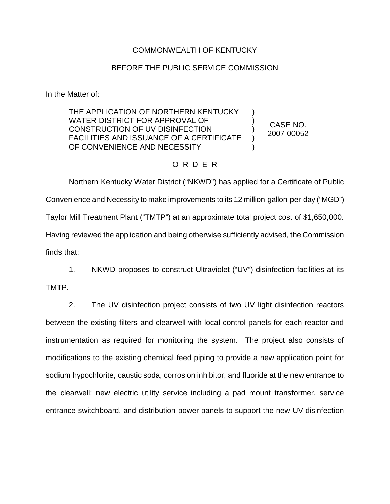## COMMONWEALTH OF KENTUCKY

## BEFORE THE PUBLIC SERVICE COMMISSION

In the Matter of:

THE APPLICATION OF NORTHERN KENTUCKY WATER DISTRICT FOR APPROVAL OF CONSTRUCTION OF UV DISINFECTION FACILITIES AND ISSUANCE OF A CERTIFICATE OF CONVENIENCE AND NECESSITY

CASE NO. 2007-00052

) ) ) ) )

## O R D E R

Northern Kentucky Water District ("NKWD") has applied for a Certificate of Public Convenience and Necessity to make improvements to its 12 million-gallon-per-day ("MGD") Taylor Mill Treatment Plant ("TMTP") at an approximate total project cost of \$1,650,000. Having reviewed the application and being otherwise sufficiently advised, the Commission finds that:

1. NKWD proposes to construct Ultraviolet ("UV") disinfection facilities at its

TMTP.

2. The UV disinfection project consists of two UV light disinfection reactors between the existing filters and clearwell with local control panels for each reactor and instrumentation as required for monitoring the system. The project also consists of modifications to the existing chemical feed piping to provide a new application point for sodium hypochlorite, caustic soda, corrosion inhibitor, and fluoride at the new entrance to the clearwell; new electric utility service including a pad mount transformer, service entrance switchboard, and distribution power panels to support the new UV disinfection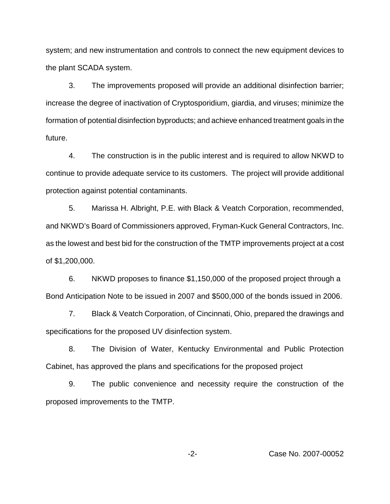system; and new instrumentation and controls to connect the new equipment devices to the plant SCADA system.

3. The improvements proposed will provide an additional disinfection barrier; increase the degree of inactivation of Cryptosporidium, giardia, and viruses; minimize the formation of potential disinfection byproducts; and achieve enhanced treatment goals in the future.

4. The construction is in the public interest and is required to allow NKWD to continue to provide adequate service to its customers. The project will provide additional protection against potential contaminants.

5. Marissa H. Albright, P.E. with Black & Veatch Corporation, recommended, and NKWD's Board of Commissioners approved, Fryman-Kuck General Contractors, Inc. as the lowest and best bid for the construction of the TMTP improvements project at a cost of \$1,200,000.

6. NKWD proposes to finance \$1,150,000 of the proposed project through a Bond Anticipation Note to be issued in 2007 and \$500,000 of the bonds issued in 2006.

7. Black & Veatch Corporation, of Cincinnati, Ohio, prepared the drawings and specifications for the proposed UV disinfection system.

8. The Division of Water, Kentucky Environmental and Public Protection Cabinet, has approved the plans and specifications for the proposed project

9. The public convenience and necessity require the construction of the proposed improvements to the TMTP.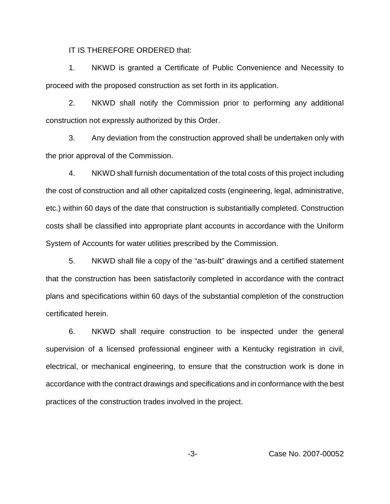IT IS THEREFORE ORDERED that:

1. NKWD is granted a Certificate of Public Convenience and Necessity to proceed with the proposed construction as set forth in its application.

2. NKWD shall notify the Commission prior to performing any additional construction not expressly authorized by this Order.

3. Any deviation from the construction approved shall be undertaken only with the prior approval of the Commission.

4. NKWD shall furnish documentation of the total costs of this project including the cost of construction and all other capitalized costs (engineering, legal, administrative, etc.) within 60 days of the date that construction is substantially completed. Construction costs shall be classified into appropriate plant accounts in accordance with the Uniform System of Accounts for water utilities prescribed by the Commission.

5. NKWD shall file a copy of the "as-built" drawings and a certified statement that the construction has been satisfactorily completed in accordance with the contract plans and specifications within 60 days of the substantial completion of the construction certificated herein.

6. NKWD shall require construction to be inspected under the general supervision of a licensed professional engineer with a Kentucky registration in civil, electrical, or mechanical engineering, to ensure that the construction work is done in accordance with the contract drawings and specifications and in conformance with the best practices of the construction trades involved in the project.